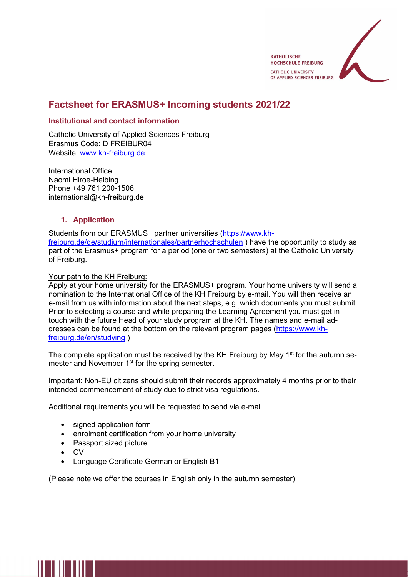

# Factsheet for ERASMUS+ Incoming students 2021/22

## Institutional and contact information

Catholic University of Applied Sciences Freiburg Erasmus Code: D FREIBUR04 Website: www.kh-freiburg.de

International Office Naomi Hiroe-Helbing Phone +49 761 200-1506 international@kh-freiburg.de

## 1. Application

Students from our ERASMUS+ partner universities (https://www.khfreiburg.de/de/studium/internationales/partnerhochschulen ) have the opportunity to study as part of the Erasmus+ program for a period (one or two semesters) at the Catholic University of Freiburg.

# Your path to the KH Freiburg:

Apply at your home university for the ERASMUS+ program. Your home university will send a nomination to the International Office of the KH Freiburg by e-mail. You will then receive an e-mail from us with information about the next steps, e.g. which documents you must submit. Prior to selecting a course and while preparing the Learning Agreement you must get in touch with the future Head of your study program at the KH. The names and e-mail addresses can be found at the bottom on the relevant program pages (https://www.khfreiburg.de/en/studying )

The complete application must be received by the KH Freiburg by May  $1<sup>st</sup>$  for the autumn semester and November 1<sup>st</sup> for the spring semester.

Important: Non-EU citizens should submit their records approximately 4 months prior to their intended commencement of study due to strict visa regulations.

Additional requirements you will be requested to send via e-mail

- signed application form
- enrolment certification from your home university
- Passport sized picture
- $\bullet$  CV
- Language Certificate German or English B1

(Please note we offer the courses in English only in the autumn semester)

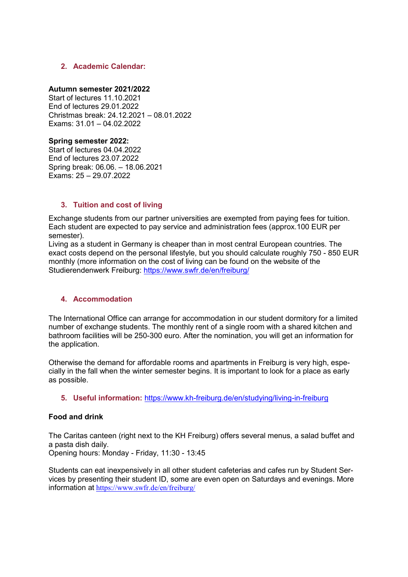## 2. Academic Calendar:

### Autumn semester 2021/2022

Start of lectures 11.10.2021 End of lectures 29.01.2022 Christmas break: 24.12.2021 – 08.01.2022 Exams: 31.01 – 04.02.2022

### Spring semester 2022:

Start of lectures 04.04.2022 End of lectures 23.07.2022 Spring break: 06.06. – 18.06.2021 Exams: 25 – 29.07.2022

## 3. Tuition and cost of living

Exchange students from our partner universities are exempted from paying fees for tuition. Each student are expected to pay service and administration fees (approx.100 EUR per semester).

Living as a student in Germany is cheaper than in most central European countries. The exact costs depend on the personal lifestyle, but you should calculate roughly 750 - 850 EUR monthly (more information on the cost of living can be found on the website of the Studierendenwerk Freiburg: https://www.swfr.de/en/freiburg/

## 4. Accommodation

The International Office can arrange for accommodation in our student dormitory for a limited number of exchange students. The monthly rent of a single room with a shared kitchen and bathroom facilities will be 250-300 euro. After the nomination, you will get an information for the application.

Otherwise the demand for affordable rooms and apartments in Freiburg is very high, especially in the fall when the winter semester begins. It is important to look for a place as early as possible.

5. Useful information: https://www.kh-freiburg.de/en/studying/living-in-freiburg

## Food and drink

The Caritas canteen (right next to the KH Freiburg) offers several menus, a salad buffet and a pasta dish daily.

Opening hours: Monday - Friday, 11:30 - 13:45

Students can eat inexpensively in all other student cafeterias and cafes run by Student Services by presenting their student ID, some are even open on Saturdays and evenings. More information at https://www.swfr.de/en/freiburg/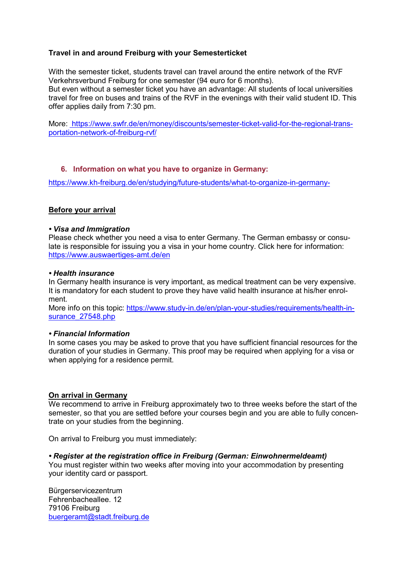# Travel in and around Freiburg with your Semesterticket

With the semester ticket, students travel can travel around the entire network of the RVF Verkehrsverbund Freiburg for one semester (94 euro for 6 months). But even without a semester ticket you have an advantage: All students of local universities travel for free on buses and trains of the RVF in the evenings with their valid student ID. This offer applies daily from 7:30 pm.

More: https://www.swfr.de/en/money/discounts/semester-ticket-valid-for-the-regional-transportation-network-of-freiburg-rvf/

## 6. Information on what you have to organize in Germany:

https://www.kh-freiburg.de/en/studying/future-students/what-to-organize-in-germany-

#### Before your arrival

#### • Visa and Immigration

Please check whether you need a visa to enter Germany. The German embassy or consulate is responsible for issuing you a visa in your home country. Click here for information: https://www.auswaertiges-amt.de/en

#### • Health insurance

In Germany health insurance is very important, as medical treatment can be very expensive. It is mandatory for each student to prove they have valid health insurance at his/her enrolment.

More info on this topic: https://www.study-in.de/en/plan-your-studies/requirements/health-insurance 27548.php

#### • Financial Information

In some cases you may be asked to prove that you have sufficient financial resources for the duration of your studies in Germany. This proof may be required when applying for a visa or when applying for a residence permit.

## On arrival in Germany

We recommend to arrive in Freiburg approximately two to three weeks before the start of the semester, so that you are settled before your courses begin and you are able to fully concentrate on your studies from the beginning.

On arrival to Freiburg you must immediately:

#### • Register at the registration office in Freiburg (German: Einwohnermeldeamt)

You must register within two weeks after moving into your accommodation by presenting your identity card or passport.

Bürgerservicezentrum Fehrenbacheallee. 12 79106 Freiburg buergeramt@stadt.freiburg.de